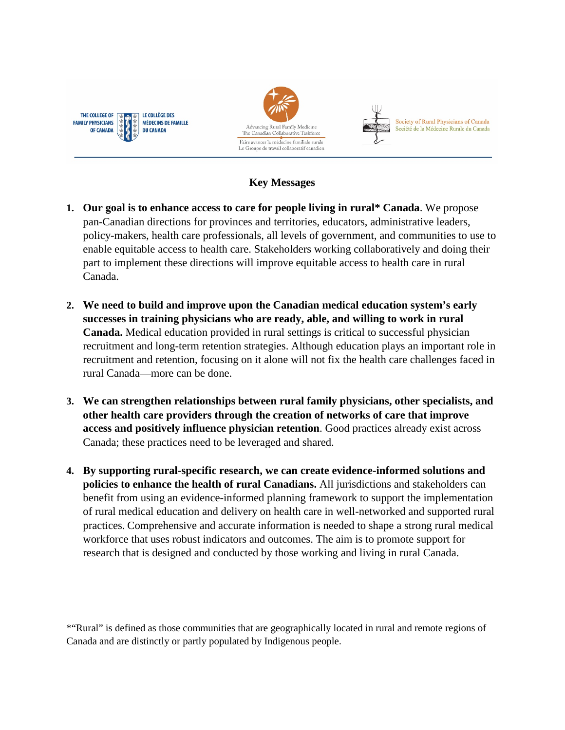

## **Key Messages**

- **1. Our goal is to enhance access to care for people living in rural\* Canada**. We propose pan-Canadian directions for provinces and territories, educators, administrative leaders, policy-makers, health care professionals, all levels of government, and communities to use to enable equitable access to health care. Stakeholders working collaboratively and doing their part to implement these directions will improve equitable access to health care in rural Canada.
- **2. We need to build and improve upon the Canadian medical education system's early successes in training physicians who are ready, able, and willing to work in rural Canada.** Medical education provided in rural settings is critical to successful physician recruitment and long-term retention strategies. Although education plays an important role in recruitment and retention, focusing on it alone will not fix the health care challenges faced in rural Canada—more can be done.
- **3. We can strengthen relationships between rural family physicians, other specialists, and other health care providers through the creation of networks of care that improve access and positively influence physician retention**. Good practices already exist across Canada; these practices need to be leveraged and shared.
- **4. By supporting rural-specific research, we can create evidence-informed solutions and policies to enhance the health of rural Canadians.** All jurisdictions and stakeholders can benefit from using an evidence-informed planning framework to support the implementation of rural medical education and delivery on health care in well-networked and supported rural practices. Comprehensive and accurate information is needed to shape a strong rural medical workforce that uses robust indicators and outcomes. The aim is to promote support for research that is designed and conducted by those working and living in rural Canada.

<sup>\*&</sup>quot;Rural" is defined as those communities that are geographically located in rural and remote regions of Canada and are distinctly or partly populated by Indigenous people.